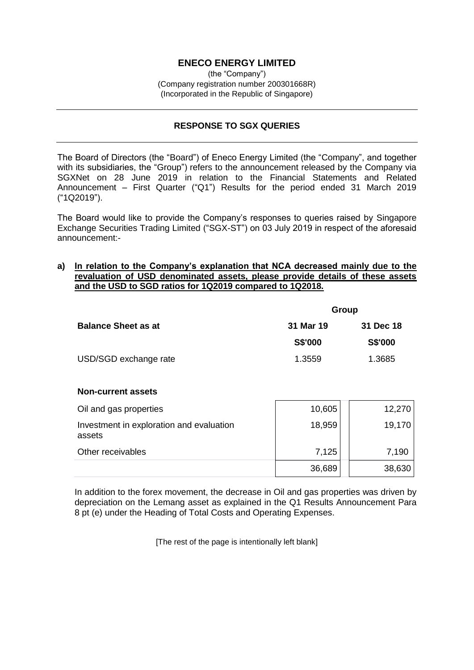# **ENECO ENERGY LIMITED**

(the "Company") (Company registration number 200301668R) (Incorporated in the Republic of Singapore)

# **RESPONSE TO SGX QUERIES**

The Board of Directors (the "Board") of Eneco Energy Limited (the "Company", and together with its subsidiaries, the "Group") refers to the announcement released by the Company via SGXNet on 28 June 2019 in relation to the Financial Statements and Related Announcement – First Quarter ("Q1") Results for the period ended 31 March 2019 ("1Q2019").

The Board would like to provide the Company's responses to queries raised by Singapore Exchange Securities Trading Limited ("SGX-ST") on 03 July 2019 in respect of the aforesaid announcement:-

### **a) In relation to the Company's explanation that NCA decreased mainly due to the revaluation of USD denominated assets, please provide details of these assets and the USD to SGD ratios for 1Q2019 compared to 1Q2018.**

|                            | Group          |                |  |
|----------------------------|----------------|----------------|--|
| <b>Balance Sheet as at</b> | 31 Mar 19      | 31 Dec 18      |  |
|                            | <b>S\$'000</b> | <b>S\$'000</b> |  |
| USD/SGD exchange rate      | 1.3559         | 1.3685         |  |

#### **Non-current assets**

| Oil and gas properties                             | 10,605 | 12,270 |
|----------------------------------------------------|--------|--------|
| Investment in exploration and evaluation<br>assets | 18,959 | 19,170 |
| Other receivables                                  | 7,125  | 7,190  |
|                                                    | 36,689 | 38,630 |

In addition to the forex movement, the decrease in Oil and gas properties was driven by depreciation on the Lemang asset as explained in the Q1 Results Announcement Para 8 pt (e) under the Heading of Total Costs and Operating Expenses.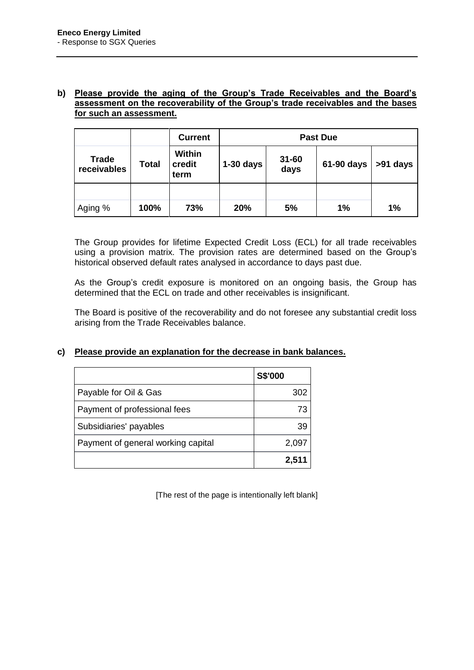### **b) Please provide the aging of the Group's Trade Receivables and the Board's assessment on the recoverability of the Group's trade receivables and the bases for such an assessment.**

|                             |              | <b>Current</b>                  | <b>Past Due</b> |                   |            |          |
|-----------------------------|--------------|---------------------------------|-----------------|-------------------|------------|----------|
| <b>Trade</b><br>receivables | <b>Total</b> | <b>Within</b><br>credit<br>term | $1-30$ days     | $31 - 60$<br>days | 61-90 days | >91 days |
|                             |              |                                 |                 |                   |            |          |
| Aging %                     | 100%         | 73%                             | 20%             | 5%                | 1%         | 1%       |

The Group provides for lifetime Expected Credit Loss (ECL) for all trade receivables using a provision matrix. The provision rates are determined based on the Group's historical observed default rates analysed in accordance to days past due.

As the Group's credit exposure is monitored on an ongoing basis, the Group has determined that the ECL on trade and other receivables is insignificant.

The Board is positive of the recoverability and do not foresee any substantial credit loss arising from the Trade Receivables balance.

# **c) Please provide an explanation for the decrease in bank balances.**

|                                    | <b>S\$'000</b> |
|------------------------------------|----------------|
| Payable for Oil & Gas              | 302            |
| Payment of professional fees       | 73             |
| Subsidiaries' payables             | 39             |
| Payment of general working capital | 2,097          |
|                                    | 2,511          |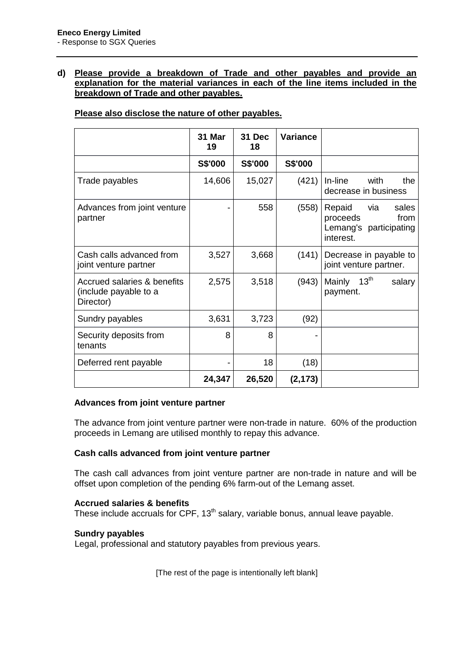# **d) Please provide a breakdown of Trade and other payables and provide an explanation for the material variances in each of the line items included in the breakdown of Trade and other payables.**

# **Please also disclose the nature of other payables.**

|                                                                   | 31 Mar<br>19 | 31 Dec<br>18 | Variance |                                                                                   |
|-------------------------------------------------------------------|--------------|--------------|----------|-----------------------------------------------------------------------------------|
|                                                                   | S\$'000      | S\$'000      | S\$'000  |                                                                                   |
| Trade payables                                                    | 14,606       | 15,027       | (421)    | In-line<br>with<br>the<br>decrease in business                                    |
| Advances from joint venture<br>partner                            |              | 558          | (558)    | Repaid<br>via<br>sales<br>from<br>proceeds<br>Lemang's participating<br>interest. |
| Cash calls advanced from<br>joint venture partner                 | 3,527        | 3,668        | (141)    | Decrease in payable to<br>joint venture partner.                                  |
| Accrued salaries & benefits<br>(include payable to a<br>Director) | 2,575        | 3,518        | (943)    | 13 <sup>th</sup><br>Mainly<br>salary<br>payment.                                  |
| Sundry payables                                                   | 3,631        | 3,723        | (92)     |                                                                                   |
| Security deposits from<br>tenants                                 | 8            | 8            |          |                                                                                   |
| Deferred rent payable                                             |              | 18           | (18)     |                                                                                   |
|                                                                   | 24,347       | 26,520       | (2, 173) |                                                                                   |

#### **Advances from joint venture partner**

The advance from joint venture partner were non-trade in nature. 60% of the production proceeds in Lemang are utilised monthly to repay this advance.

#### **Cash calls advanced from joint venture partner**

The cash call advances from joint venture partner are non-trade in nature and will be offset upon completion of the pending 6% farm-out of the Lemang asset.

#### **Accrued salaries & benefits**

These include accruals for CPF,  $13<sup>th</sup>$  salary, variable bonus, annual leave payable.

#### **Sundry payables**

Legal, professional and statutory payables from previous years.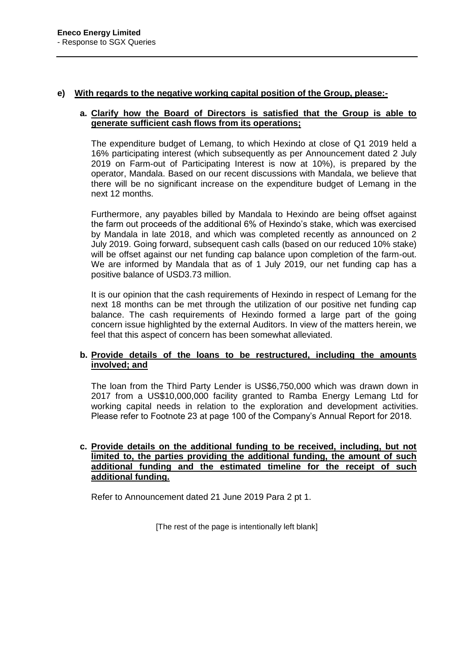### **e) With regards to the negative working capital position of the Group, please:-**

### **a. Clarify how the Board of Directors is satisfied that the Group is able to generate sufficient cash flows from its operations;**

The expenditure budget of Lemang, to which Hexindo at close of Q1 2019 held a 16% participating interest (which subsequently as per Announcement dated 2 July 2019 on Farm-out of Participating Interest is now at 10%), is prepared by the operator, Mandala. Based on our recent discussions with Mandala, we believe that there will be no significant increase on the expenditure budget of Lemang in the next 12 months.

Furthermore, any payables billed by Mandala to Hexindo are being offset against the farm out proceeds of the additional 6% of Hexindo's stake, which was exercised by Mandala in late 2018, and which was completed recently as announced on 2 July 2019. Going forward, subsequent cash calls (based on our reduced 10% stake) will be offset against our net funding cap balance upon completion of the farm-out. We are informed by Mandala that as of 1 July 2019, our net funding cap has a positive balance of USD3.73 million.

It is our opinion that the cash requirements of Hexindo in respect of Lemang for the next 18 months can be met through the utilization of our positive net funding cap balance. The cash requirements of Hexindo formed a large part of the going concern issue highlighted by the external Auditors. In view of the matters herein, we feel that this aspect of concern has been somewhat alleviated.

### **b. Provide details of the loans to be restructured, including the amounts involved; and**

The loan from the Third Party Lender is US\$6,750,000 which was drawn down in 2017 from a US\$10,000,000 facility granted to Ramba Energy Lemang Ltd for working capital needs in relation to the exploration and development activities. Please refer to Footnote 23 at page 100 of the Company's Annual Report for 2018.

# **c. Provide details on the additional funding to be received, including, but not limited to, the parties providing the additional funding, the amount of such additional funding and the estimated timeline for the receipt of such additional funding.**

Refer to Announcement dated 21 June 2019 Para 2 pt 1.